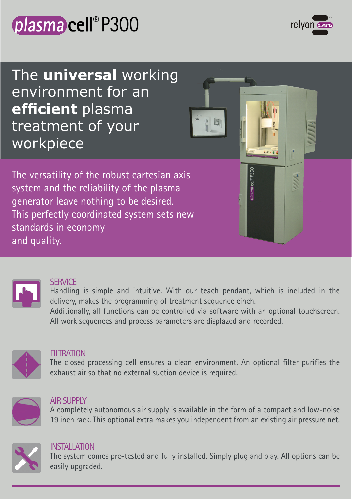



The **universal** working environment for an **efficient** plasma treatment of your workpiece

The versatility of the robust cartesian axis system and the reliability of the plasma generator leave nothing to be desired. This perfectly coordinated system sets new standards in economy and quality.



#### **SERVICE**

Handling is simple and intuitive. With our teach pendant, which is included in the delivery, makes the programming of treatment sequence cinch.

lasma cell®P300

Additionally, all functions can be controlled via software with an optional touchscreen. All work sequences and process parameters are displazed and recorded.



#### **FILTRATION**

The closed processing cell ensures a clean environment. An optional filter purifies the exhaust air so that no external suction device is required.



#### **AIR SUPPLY**

A completely autonomous air supply is available in the form of a compact and low-noise 19 inch rack. This optional extra makes you independent from an existing air pressure net.



#### **INSTALLATION**

The system comes pre-tested and fully installed. Simply plug and play. All options can be easily upgraded.